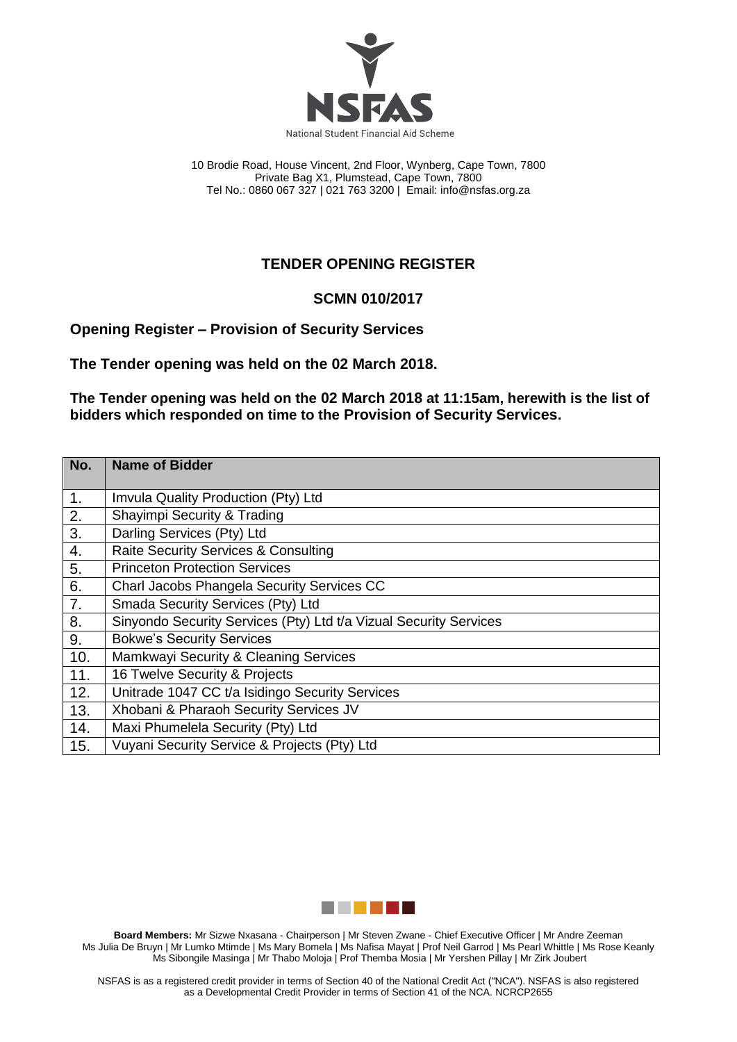

10 Brodie Road, House Vincent, 2nd Floor, Wynberg, Cape Town, 7800 Private Bag X1, Plumstead, Cape Town, 7800 Tel No.: 0860 067 327 | 021 763 3200 | Email[: info@nsfas.org.za](mailto:info@nsfas.org.za)

## **TENDER OPENING REGISTER**

## **SCMN 010/2017**

**Opening Register – Provision of Security Services**

**The Tender opening was held on the 02 March 2018.**

**The Tender opening was held on the 02 March 2018 at 11:15am, herewith is the list of bidders which responded on time to the Provision of Security Services.**

| No. | <b>Name of Bidder</b>                                             |
|-----|-------------------------------------------------------------------|
| 1.  | Imvula Quality Production (Pty) Ltd                               |
| 2.  | Shayimpi Security & Trading                                       |
| 3.  | Darling Services (Pty) Ltd                                        |
| 4.  | <b>Raite Security Services &amp; Consulting</b>                   |
| 5.  | <b>Princeton Protection Services</b>                              |
| 6.  | Charl Jacobs Phangela Security Services CC                        |
| 7.  | Smada Security Services (Pty) Ltd                                 |
| 8.  | Sinyondo Security Services (Pty) Ltd t/a Vizual Security Services |
| 9.  | <b>Bokwe's Security Services</b>                                  |
| 10. | Mamkwayi Security & Cleaning Services                             |
| 11. | 16 Twelve Security & Projects                                     |
| 12. | Unitrade 1047 CC t/a Isidingo Security Services                   |
| 13. | Xhobani & Pharaoh Security Services JV                            |
| 14. | Maxi Phumelela Security (Pty) Ltd                                 |
| 15. | Vuyani Security Service & Projects (Pty) Ltd                      |



**Board Members:** Mr Sizwe Nxasana - Chairperson | Mr Steven Zwane - Chief Executive Officer | Mr Andre Zeeman Ms Julia De Bruyn | Mr Lumko Mtimde | Ms Mary Bomela | Ms Nafisa Mayat | Prof Neil Garrod | Ms Pearl Whittle | Ms Rose Keanly Ms Sibongile Masinga | Mr Thabo Moloja | Prof Themba Mosia | Mr Yershen Pillay | Mr Zirk Joubert

NSFAS is as a registered credit provider in terms of Section 40 of the National Credit Act ("NCA"). NSFAS is also registered as a Developmental Credit Provider in terms of Section 41 of the NCA. NCRCP2655